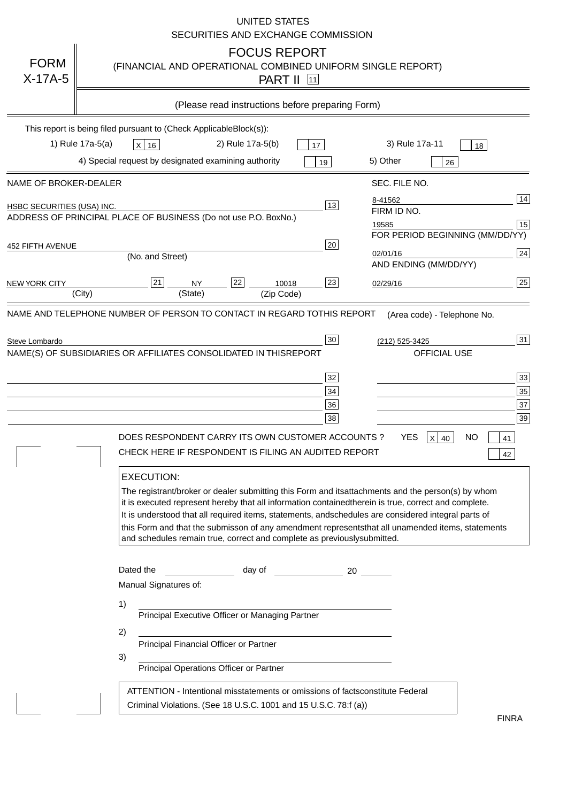|                                   | <b>UNITED STATES</b><br>SECURITIES AND EXCHANGE COMMISSION                                                                                                                                                                                                                                                                                                                                                                                                                                                                                                                                                                                                                                                                                                                                                                                                               |
|-----------------------------------|--------------------------------------------------------------------------------------------------------------------------------------------------------------------------------------------------------------------------------------------------------------------------------------------------------------------------------------------------------------------------------------------------------------------------------------------------------------------------------------------------------------------------------------------------------------------------------------------------------------------------------------------------------------------------------------------------------------------------------------------------------------------------------------------------------------------------------------------------------------------------|
| <b>FORM</b><br>$X-17A-5$          | <b>FOCUS REPORT</b><br>(FINANCIAL AND OPERATIONAL COMBINED UNIFORM SINGLE REPORT)<br><b>PART II</b> 11                                                                                                                                                                                                                                                                                                                                                                                                                                                                                                                                                                                                                                                                                                                                                                   |
|                                   | (Please read instructions before preparing Form)                                                                                                                                                                                                                                                                                                                                                                                                                                                                                                                                                                                                                                                                                                                                                                                                                         |
|                                   | This report is being filed pursuant to (Check Applicable<br>$Block(s)$ :<br>3) Rule 17a-11<br>1) Rule 17a-5(a)<br>2) Rule 17a-5(b)<br>$X$ 16<br>17<br>18<br>4) Special request by designated examining authority<br>5) Other<br>19<br>26                                                                                                                                                                                                                                                                                                                                                                                                                                                                                                                                                                                                                                 |
| NAME OF BROKER-DEALER             | SEC. FILE NO.                                                                                                                                                                                                                                                                                                                                                                                                                                                                                                                                                                                                                                                                                                                                                                                                                                                            |
| <b>HSBC SECURITIES (USA) INC.</b> | 14<br>8-41562<br>13<br>FIRM ID NO.<br>ADDRESS OF PRINCIPAL PLACE OF BUSINESS (Do not use P.O. Box<br>No.)<br>15<br>19585<br>FOR PERIOD BEGINNING (MM/DD/YY)                                                                                                                                                                                                                                                                                                                                                                                                                                                                                                                                                                                                                                                                                                              |
| <b>452 FIFTH AVENUE</b>           | 20<br>24<br>02/01/16<br>(No. and Street)<br>AND ENDING (MM/DD/YY)                                                                                                                                                                                                                                                                                                                                                                                                                                                                                                                                                                                                                                                                                                                                                                                                        |
| <b>NEW YORK CITY</b>              | 25<br>22<br>21<br>23<br><b>NY</b><br>10018<br>02/29/16<br>(City)<br>(State)<br>(Zip Code)                                                                                                                                                                                                                                                                                                                                                                                                                                                                                                                                                                                                                                                                                                                                                                                |
|                                   | NAME(S) OF SUBSIDIARIES OR AFFILIATES CONSOLIDATED IN THIS<br><b>REPORT</b><br><b>OFFICIAL USE</b><br>$\overline{33}$<br>32<br>35<br>34<br>37<br>36<br>39<br>38<br>DOES RESPONDENT CARRY ITS OWN CUSTOMER ACCOUNTS?<br><b>YES</b><br>$X$ 40<br><b>NO</b><br>41<br>CHECK HERE IF RESPONDENT IS FILING AN AUDITED REPORT<br>42<br><b>EXECUTION:</b><br>The registrant/broker or dealer submitting this Form and its<br>attachments and the person(s) by whom<br>it is executed represent hereby that all information contained<br>therein is true, correct and complete.<br>It is understood that all required items, statements, and<br>schedules are considered integral parts of<br>this Form and that the submisson of any amendment represents<br>that all unamended items, statements<br>and schedules remain true, correct and complete as previously<br>submitted. |
|                                   | Dated the<br>day of<br>20<br>Manual Signatures of:<br>1)<br>Principal Executive Officer or Managing Partner<br>2)<br>Principal Financial Officer or Partner<br>3)<br>Principal Operations Officer or Partner                                                                                                                                                                                                                                                                                                                                                                                                                                                                                                                                                                                                                                                             |
|                                   | ATTENTION - Intentional misstatements or omissions of facts<br>constitute Federal<br>Criminal Violations. (See 18 U.S.C. 1001 and 15 U.S.C. 78:f (a)<br>$\lambda$<br><b>FINRA</b>                                                                                                                                                                                                                                                                                                                                                                                                                                                                                                                                                                                                                                                                                        |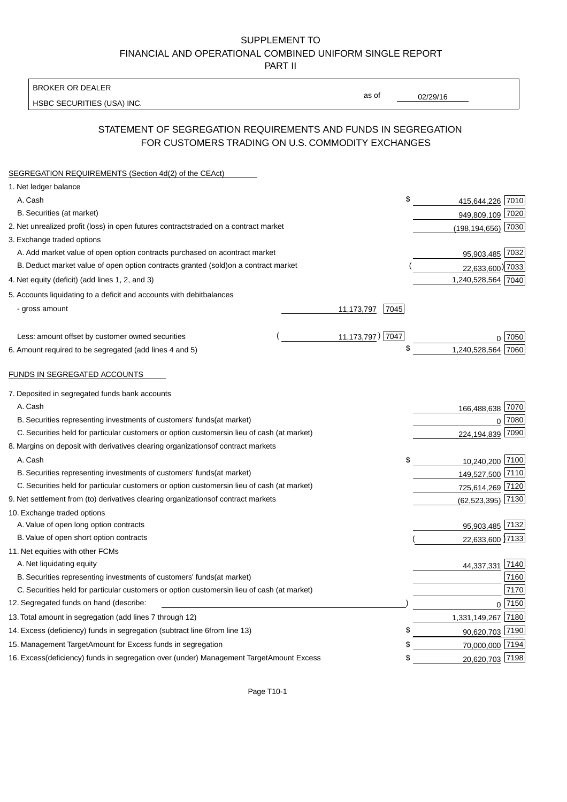BROKER OR DEALER

HSBC SECURITIES (USA) INC.

02/29/16

as of

## STATEMENT OF SEGREGATION REQUIREMENTS AND FUNDS IN SEGREGATION FOR CUSTOMERS TRADING ON U.S. COMMODITY EXCHANGES

| SEGREGATION REQUIREMENTS (Section 4d(2) of the CEAct)                                          |                    |                    |          |
|------------------------------------------------------------------------------------------------|--------------------|--------------------|----------|
| 1. Net ledger balance                                                                          |                    |                    |          |
| A. Cash                                                                                        | \$                 | 415,644,226 7010   |          |
| B. Securities (at market)                                                                      |                    | 949,809,109 7020   |          |
| 2. Net unrealized profit (loss) in open futures contracts<br>traded on a contract market       |                    | (198,194,656) 7030 |          |
| 3. Exchange traded options                                                                     |                    |                    |          |
| A. Add market value of open option contracts purchased on a<br>contract market                 |                    | 95,903,485 7032    |          |
| B. Deduct market value of open option contracts granted (sold)<br>on a contract market         |                    | 22,633,600) 7033   |          |
| 4. Net equity (deficit) (add lines 1, 2, and 3)                                                |                    | 1,240,528,564 7040 |          |
| 5. Accounts liquidating to a deficit and accounts with debit<br>balances                       |                    |                    |          |
| - gross amount                                                                                 | 7045<br>11,173,797 |                    |          |
|                                                                                                |                    |                    |          |
| Less: amount offset by customer owned securities                                               | 11,173,797) 7047   |                    | ∩ 7050   |
| 6. Amount required to be segregated (add lines 4 and 5)                                        | \$                 | 1,240,528,564 7060 |          |
|                                                                                                |                    |                    |          |
| FUNDS IN SEGREGATED ACCOUNTS                                                                   |                    |                    |          |
| 7. Deposited in segregated funds bank accounts                                                 |                    |                    |          |
| A. Cash                                                                                        |                    | 166,488,638 7070   |          |
| B. Securities representing investments of customers' funds<br>(at market)                      |                    | $\Omega$           | 7080     |
| C. Securities held for particular customers or option customers<br>in lieu of cash (at market) |                    | 224,194,839        | 7090     |
| 8. Margins on deposit with derivatives clearing organizations<br>of contract markets           |                    |                    |          |
| A. Cash                                                                                        | \$                 | 10,240,200 7100    |          |
| B. Securities representing investments of customers' funds<br>(at market)                      |                    | 149,527,500 7110   |          |
| C. Securities held for particular customers or option customers<br>in lieu of cash (at market) |                    | 725,614,269 7120   |          |
| 9. Net settlement from (to) derivatives clearing organizations<br>of contract markets          |                    | (62, 523, 395)     | 7130     |
| 10. Exchange traded options                                                                    |                    |                    |          |
| A. Value of open long option contracts                                                         |                    | 95,903,485 7132    |          |
| B. Value of open short option contracts                                                        |                    | 22,633,600 7133    |          |
| 11. Net equities with other FCMs                                                               |                    |                    |          |
| A. Net liquidating equity                                                                      |                    | 44,337,331         | 7140     |
| B. Securities representing investments of customers' funds<br>(at market)                      |                    |                    | 7160     |
| C. Securities held for particular customers or option customers<br>in lieu of cash (at market) |                    |                    | 7170     |
| 12. Segregated funds on hand (describe:                                                        |                    |                    | $0$ 7150 |
| 13. Total amount in segregation (add lines 7 through 12)                                       |                    | 1,331,149,267 7180 |          |
| 14. Excess (deficiency) funds in segregation (subtract line 6 from line 13)                    | S                  | 90,620,703 7190    |          |
| 15. Management Target Amount for Excess funds in segregation                                   |                    | 70,000,000 7194    |          |
| 16. Excess (deficiency) funds in segregation over (under) Management Target Amount Excess      | \$                 | 20,620,703 7198    |          |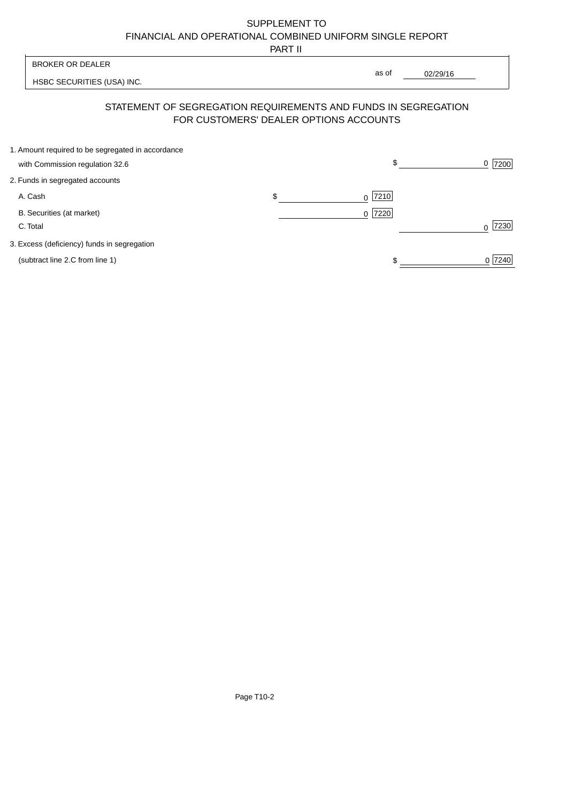PART II

|                                                                                      | .                                      |                                                                |                  |
|--------------------------------------------------------------------------------------|----------------------------------------|----------------------------------------------------------------|------------------|
| <b>BROKER OR DEALER</b>                                                              |                                        |                                                                |                  |
| HSBC SECURITIES (USA) INC.                                                           |                                        | as of<br>02/29/16                                              |                  |
|                                                                                      | FOR CUSTOMERS' DEALER OPTIONS ACCOUNTS | STATEMENT OF SEGREGATION REQUIREMENTS AND FUNDS IN SEGREGATION |                  |
| 1. Amount required to be segregated in accordance<br>with Commission regulation 32.6 |                                        | \$                                                             | 7200<br>0        |
| 2. Funds in segregated accounts                                                      |                                        |                                                                |                  |
| A. Cash                                                                              | \$                                     | 7210<br>0                                                      |                  |
| B. Securities (at market)<br>C. Total                                                |                                        | 7220 <br>$\Omega$                                              | 7230<br>$\Omega$ |
| 3. Excess (deficiency) funds in segregation                                          |                                        |                                                                |                  |
| (subtract line 2.C from line 1)                                                      |                                        |                                                                | 0 7240           |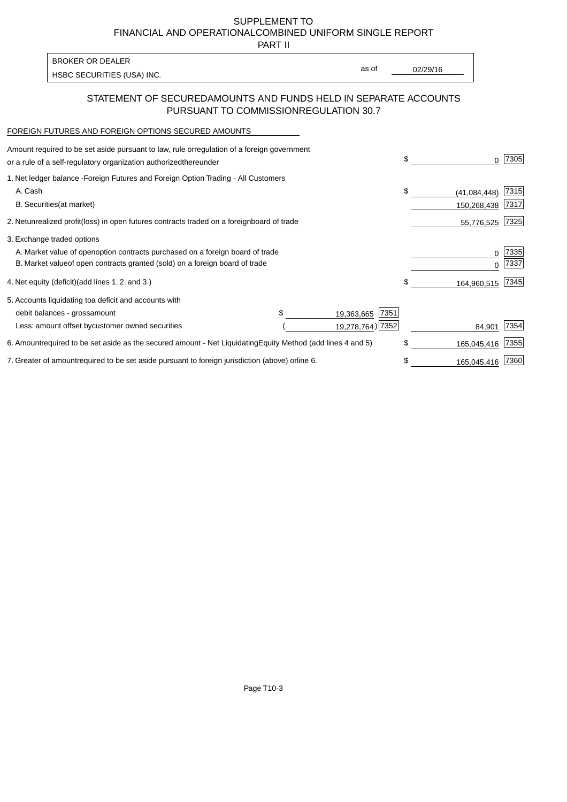PART II

HSBC SECURITIES (USA) INC. The contract of the contract of the contract of the contract of the contract of the contract of the contract of the contract of the contract of the contract of the contract of the contract of the BROKER OR DEALER

as of

### STATEMENT OF SECURED AMOUNTS AND FUNDS HELD IN SEPARATE ACCOUNTS PURSUANT TO COMMISSION REGULATION 30.7

#### FOREIGN FUTURES AND FOREIGN OPTIONS SECURED AMOUNTS

| Amount required to be set aside pursuant to law, rule or<br>regulation of a foreign government<br>or a rule of a self-regulatory organization authorized<br>thereunder                       |                                   | \$<br>0                   | 7305          |
|----------------------------------------------------------------------------------------------------------------------------------------------------------------------------------------------|-----------------------------------|---------------------------|---------------|
| 1. Net ledger balance - Foreign Futures and Foreign Option Trading - All Customers<br>A. Cash<br><b>B.</b> Securities<br>(at market)                                                         |                                   | \$<br>(41,084,448)        | 7315<br> 7317 |
| 2. Net unrealized profit (loss) in open futures contracts traded on a foreign                                                                                                                | board of trade                    | 150,268,438<br>55,776,525 | 7325          |
| 3. Exchange traded options<br>A. Market value of open option contracts purchased on a foreign board of trade<br>B. Market value of open contracts granted (sold) on a foreign board of trade |                                   | 0<br>U                    | 7335<br>7337  |
| 4. Net equity (deficit) (add lines 1.2. and 3.)                                                                                                                                              |                                   | \$<br>164,960,515 7345    |               |
| 5. Accounts liquidating to a deficit and accounts with<br>debit balances - gross<br>amount                                                                                                   | 7351<br>19,363,665                |                           |               |
| Less: amount offset by customer owned securities                                                                                                                                             | 19,278,764) 7352                  | 84,901                    | 7354          |
| 6. Amount required to be set aside as the secured amount - Net Liquidating                                                                                                                   | Equity Method (add lines 4 and 5) | \$<br>165,045,416         | 7355          |
| 7. Greater of amount required to be set aside pursuant to foreign jurisdiction (above) or                                                                                                    | line 6.                           | \$<br>165,045,416         | 7360          |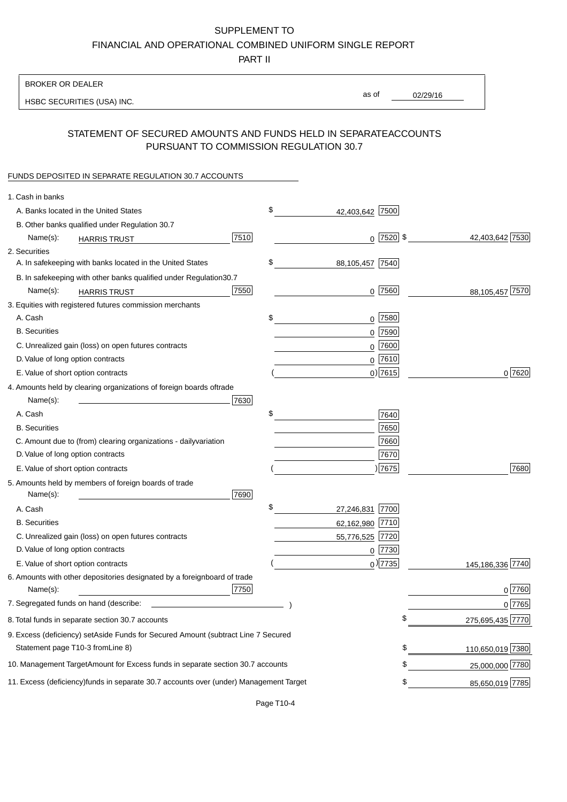PART II

| as of<br>02/29/16<br>HSBC SECURITIES (USA) INC.<br>STATEMENT OF SECURED AMOUNTS AND FUNDS HELD IN SEPARATE<br><b>ACCOUNTS</b><br>PURSUANT TO COMMISSION REGULATION 30.7<br>FUNDS DEPOSITED IN SEPARATE REGULATION 30.7 ACCOUNTS<br>1. Cash in banks<br>\$<br>A. Banks located in the United States<br>42,403,642 7500<br>B. Other banks qualified under Regulation 30.7<br>7510<br>$0$ 7520 \$<br>42,403,642 7530<br>Name(s):<br><b>HARRIS TRUST</b><br>2. Securities<br>\$<br>A. In safekeeping with banks located in the United States<br>88,105,457 7540<br>30.7<br>B. In safekeeping with other banks qualified under Regulation<br>7550<br>88,105,457 7570<br>$0$ 7560<br>Name(s):<br><b>HARRIS TRUST</b><br>3. Equities with registered futures commission merchants<br>A. Cash<br>\$<br>$0$ 7580<br><b>B.</b> Securities<br>$0$ 7590<br>$0$ 7600<br>C. Unrealized gain (loss) on open futures contracts<br>$0$ 7610<br>D. Value of long option contracts<br>$0)$ 7615<br>0 7620<br>E. Value of short option contracts<br>4. Amounts held by clearing organizations of foreign boards of<br>trade<br>Name(s):<br>7630<br>A. Cash<br>\$<br>7640<br>7650<br><b>B.</b> Securities<br>7660<br>C. Amount due to (from) clearing organizations - daily<br>variation<br>D. Value of long option contracts<br>7670<br>) 7675<br>7680<br>E. Value of short option contracts<br>5. Amounts held by members of foreign boards of trade<br>Name(s):<br>7690<br>\$<br>A. Cash<br>27,246,831 7700<br><b>B.</b> Securities<br>62,162,980 7710<br>C. Unrealized gain (loss) on open futures contracts<br>55,776,525 7720<br>D. Value of long option contracts<br>$0$ 7730<br>$_0$ ) 7735<br>145,186,336 7740<br>E. Value of short option contracts<br>6. Amounts with other depositories designated by a foreign<br>board of trade<br>7750<br>0 7760<br>Name(s):<br>7. Segregated funds on hand (describe:<br>0 7765<br>\$<br>275,695,435 7770<br>8. Total funds in separate section 30.7 accounts<br>9. Excess (deficiency) set Aside Funds for Secured Amount (subtract Line 7 Secured<br>Statement page T10-3 from Line 8)<br>\$<br>110,650,019 7380<br>\$<br>10. Management Target Amount for Excess funds in separate section 30.7 accounts<br>25,000,000 7780<br>11. Excess (deficiency) funds in separate 30.7 accounts over (under) Management Target<br>85,650,019 7785<br>\$ | <b>BROKER OR DEALER</b> |  |  |
|------------------------------------------------------------------------------------------------------------------------------------------------------------------------------------------------------------------------------------------------------------------------------------------------------------------------------------------------------------------------------------------------------------------------------------------------------------------------------------------------------------------------------------------------------------------------------------------------------------------------------------------------------------------------------------------------------------------------------------------------------------------------------------------------------------------------------------------------------------------------------------------------------------------------------------------------------------------------------------------------------------------------------------------------------------------------------------------------------------------------------------------------------------------------------------------------------------------------------------------------------------------------------------------------------------------------------------------------------------------------------------------------------------------------------------------------------------------------------------------------------------------------------------------------------------------------------------------------------------------------------------------------------------------------------------------------------------------------------------------------------------------------------------------------------------------------------------------------------------------------------------------------------------------------------------------------------------------------------------------------------------------------------------------------------------------------------------------------------------------------------------------------------------------------------------------------------------------------------------------------------------------------------------------------------------------------------------------------------------------------------|-------------------------|--|--|
|                                                                                                                                                                                                                                                                                                                                                                                                                                                                                                                                                                                                                                                                                                                                                                                                                                                                                                                                                                                                                                                                                                                                                                                                                                                                                                                                                                                                                                                                                                                                                                                                                                                                                                                                                                                                                                                                                                                                                                                                                                                                                                                                                                                                                                                                                                                                                                              |                         |  |  |
|                                                                                                                                                                                                                                                                                                                                                                                                                                                                                                                                                                                                                                                                                                                                                                                                                                                                                                                                                                                                                                                                                                                                                                                                                                                                                                                                                                                                                                                                                                                                                                                                                                                                                                                                                                                                                                                                                                                                                                                                                                                                                                                                                                                                                                                                                                                                                                              |                         |  |  |
|                                                                                                                                                                                                                                                                                                                                                                                                                                                                                                                                                                                                                                                                                                                                                                                                                                                                                                                                                                                                                                                                                                                                                                                                                                                                                                                                                                                                                                                                                                                                                                                                                                                                                                                                                                                                                                                                                                                                                                                                                                                                                                                                                                                                                                                                                                                                                                              |                         |  |  |
|                                                                                                                                                                                                                                                                                                                                                                                                                                                                                                                                                                                                                                                                                                                                                                                                                                                                                                                                                                                                                                                                                                                                                                                                                                                                                                                                                                                                                                                                                                                                                                                                                                                                                                                                                                                                                                                                                                                                                                                                                                                                                                                                                                                                                                                                                                                                                                              |                         |  |  |
|                                                                                                                                                                                                                                                                                                                                                                                                                                                                                                                                                                                                                                                                                                                                                                                                                                                                                                                                                                                                                                                                                                                                                                                                                                                                                                                                                                                                                                                                                                                                                                                                                                                                                                                                                                                                                                                                                                                                                                                                                                                                                                                                                                                                                                                                                                                                                                              |                         |  |  |
|                                                                                                                                                                                                                                                                                                                                                                                                                                                                                                                                                                                                                                                                                                                                                                                                                                                                                                                                                                                                                                                                                                                                                                                                                                                                                                                                                                                                                                                                                                                                                                                                                                                                                                                                                                                                                                                                                                                                                                                                                                                                                                                                                                                                                                                                                                                                                                              |                         |  |  |
|                                                                                                                                                                                                                                                                                                                                                                                                                                                                                                                                                                                                                                                                                                                                                                                                                                                                                                                                                                                                                                                                                                                                                                                                                                                                                                                                                                                                                                                                                                                                                                                                                                                                                                                                                                                                                                                                                                                                                                                                                                                                                                                                                                                                                                                                                                                                                                              |                         |  |  |
|                                                                                                                                                                                                                                                                                                                                                                                                                                                                                                                                                                                                                                                                                                                                                                                                                                                                                                                                                                                                                                                                                                                                                                                                                                                                                                                                                                                                                                                                                                                                                                                                                                                                                                                                                                                                                                                                                                                                                                                                                                                                                                                                                                                                                                                                                                                                                                              |                         |  |  |
|                                                                                                                                                                                                                                                                                                                                                                                                                                                                                                                                                                                                                                                                                                                                                                                                                                                                                                                                                                                                                                                                                                                                                                                                                                                                                                                                                                                                                                                                                                                                                                                                                                                                                                                                                                                                                                                                                                                                                                                                                                                                                                                                                                                                                                                                                                                                                                              |                         |  |  |
|                                                                                                                                                                                                                                                                                                                                                                                                                                                                                                                                                                                                                                                                                                                                                                                                                                                                                                                                                                                                                                                                                                                                                                                                                                                                                                                                                                                                                                                                                                                                                                                                                                                                                                                                                                                                                                                                                                                                                                                                                                                                                                                                                                                                                                                                                                                                                                              |                         |  |  |
|                                                                                                                                                                                                                                                                                                                                                                                                                                                                                                                                                                                                                                                                                                                                                                                                                                                                                                                                                                                                                                                                                                                                                                                                                                                                                                                                                                                                                                                                                                                                                                                                                                                                                                                                                                                                                                                                                                                                                                                                                                                                                                                                                                                                                                                                                                                                                                              |                         |  |  |
|                                                                                                                                                                                                                                                                                                                                                                                                                                                                                                                                                                                                                                                                                                                                                                                                                                                                                                                                                                                                                                                                                                                                                                                                                                                                                                                                                                                                                                                                                                                                                                                                                                                                                                                                                                                                                                                                                                                                                                                                                                                                                                                                                                                                                                                                                                                                                                              |                         |  |  |
|                                                                                                                                                                                                                                                                                                                                                                                                                                                                                                                                                                                                                                                                                                                                                                                                                                                                                                                                                                                                                                                                                                                                                                                                                                                                                                                                                                                                                                                                                                                                                                                                                                                                                                                                                                                                                                                                                                                                                                                                                                                                                                                                                                                                                                                                                                                                                                              |                         |  |  |
|                                                                                                                                                                                                                                                                                                                                                                                                                                                                                                                                                                                                                                                                                                                                                                                                                                                                                                                                                                                                                                                                                                                                                                                                                                                                                                                                                                                                                                                                                                                                                                                                                                                                                                                                                                                                                                                                                                                                                                                                                                                                                                                                                                                                                                                                                                                                                                              |                         |  |  |
|                                                                                                                                                                                                                                                                                                                                                                                                                                                                                                                                                                                                                                                                                                                                                                                                                                                                                                                                                                                                                                                                                                                                                                                                                                                                                                                                                                                                                                                                                                                                                                                                                                                                                                                                                                                                                                                                                                                                                                                                                                                                                                                                                                                                                                                                                                                                                                              |                         |  |  |
|                                                                                                                                                                                                                                                                                                                                                                                                                                                                                                                                                                                                                                                                                                                                                                                                                                                                                                                                                                                                                                                                                                                                                                                                                                                                                                                                                                                                                                                                                                                                                                                                                                                                                                                                                                                                                                                                                                                                                                                                                                                                                                                                                                                                                                                                                                                                                                              |                         |  |  |
|                                                                                                                                                                                                                                                                                                                                                                                                                                                                                                                                                                                                                                                                                                                                                                                                                                                                                                                                                                                                                                                                                                                                                                                                                                                                                                                                                                                                                                                                                                                                                                                                                                                                                                                                                                                                                                                                                                                                                                                                                                                                                                                                                                                                                                                                                                                                                                              |                         |  |  |
|                                                                                                                                                                                                                                                                                                                                                                                                                                                                                                                                                                                                                                                                                                                                                                                                                                                                                                                                                                                                                                                                                                                                                                                                                                                                                                                                                                                                                                                                                                                                                                                                                                                                                                                                                                                                                                                                                                                                                                                                                                                                                                                                                                                                                                                                                                                                                                              |                         |  |  |
|                                                                                                                                                                                                                                                                                                                                                                                                                                                                                                                                                                                                                                                                                                                                                                                                                                                                                                                                                                                                                                                                                                                                                                                                                                                                                                                                                                                                                                                                                                                                                                                                                                                                                                                                                                                                                                                                                                                                                                                                                                                                                                                                                                                                                                                                                                                                                                              |                         |  |  |
|                                                                                                                                                                                                                                                                                                                                                                                                                                                                                                                                                                                                                                                                                                                                                                                                                                                                                                                                                                                                                                                                                                                                                                                                                                                                                                                                                                                                                                                                                                                                                                                                                                                                                                                                                                                                                                                                                                                                                                                                                                                                                                                                                                                                                                                                                                                                                                              |                         |  |  |
|                                                                                                                                                                                                                                                                                                                                                                                                                                                                                                                                                                                                                                                                                                                                                                                                                                                                                                                                                                                                                                                                                                                                                                                                                                                                                                                                                                                                                                                                                                                                                                                                                                                                                                                                                                                                                                                                                                                                                                                                                                                                                                                                                                                                                                                                                                                                                                              |                         |  |  |
|                                                                                                                                                                                                                                                                                                                                                                                                                                                                                                                                                                                                                                                                                                                                                                                                                                                                                                                                                                                                                                                                                                                                                                                                                                                                                                                                                                                                                                                                                                                                                                                                                                                                                                                                                                                                                                                                                                                                                                                                                                                                                                                                                                                                                                                                                                                                                                              |                         |  |  |
|                                                                                                                                                                                                                                                                                                                                                                                                                                                                                                                                                                                                                                                                                                                                                                                                                                                                                                                                                                                                                                                                                                                                                                                                                                                                                                                                                                                                                                                                                                                                                                                                                                                                                                                                                                                                                                                                                                                                                                                                                                                                                                                                                                                                                                                                                                                                                                              |                         |  |  |
|                                                                                                                                                                                                                                                                                                                                                                                                                                                                                                                                                                                                                                                                                                                                                                                                                                                                                                                                                                                                                                                                                                                                                                                                                                                                                                                                                                                                                                                                                                                                                                                                                                                                                                                                                                                                                                                                                                                                                                                                                                                                                                                                                                                                                                                                                                                                                                              |                         |  |  |
|                                                                                                                                                                                                                                                                                                                                                                                                                                                                                                                                                                                                                                                                                                                                                                                                                                                                                                                                                                                                                                                                                                                                                                                                                                                                                                                                                                                                                                                                                                                                                                                                                                                                                                                                                                                                                                                                                                                                                                                                                                                                                                                                                                                                                                                                                                                                                                              |                         |  |  |
|                                                                                                                                                                                                                                                                                                                                                                                                                                                                                                                                                                                                                                                                                                                                                                                                                                                                                                                                                                                                                                                                                                                                                                                                                                                                                                                                                                                                                                                                                                                                                                                                                                                                                                                                                                                                                                                                                                                                                                                                                                                                                                                                                                                                                                                                                                                                                                              |                         |  |  |
|                                                                                                                                                                                                                                                                                                                                                                                                                                                                                                                                                                                                                                                                                                                                                                                                                                                                                                                                                                                                                                                                                                                                                                                                                                                                                                                                                                                                                                                                                                                                                                                                                                                                                                                                                                                                                                                                                                                                                                                                                                                                                                                                                                                                                                                                                                                                                                              |                         |  |  |
|                                                                                                                                                                                                                                                                                                                                                                                                                                                                                                                                                                                                                                                                                                                                                                                                                                                                                                                                                                                                                                                                                                                                                                                                                                                                                                                                                                                                                                                                                                                                                                                                                                                                                                                                                                                                                                                                                                                                                                                                                                                                                                                                                                                                                                                                                                                                                                              |                         |  |  |
|                                                                                                                                                                                                                                                                                                                                                                                                                                                                                                                                                                                                                                                                                                                                                                                                                                                                                                                                                                                                                                                                                                                                                                                                                                                                                                                                                                                                                                                                                                                                                                                                                                                                                                                                                                                                                                                                                                                                                                                                                                                                                                                                                                                                                                                                                                                                                                              |                         |  |  |
|                                                                                                                                                                                                                                                                                                                                                                                                                                                                                                                                                                                                                                                                                                                                                                                                                                                                                                                                                                                                                                                                                                                                                                                                                                                                                                                                                                                                                                                                                                                                                                                                                                                                                                                                                                                                                                                                                                                                                                                                                                                                                                                                                                                                                                                                                                                                                                              |                         |  |  |
|                                                                                                                                                                                                                                                                                                                                                                                                                                                                                                                                                                                                                                                                                                                                                                                                                                                                                                                                                                                                                                                                                                                                                                                                                                                                                                                                                                                                                                                                                                                                                                                                                                                                                                                                                                                                                                                                                                                                                                                                                                                                                                                                                                                                                                                                                                                                                                              |                         |  |  |
|                                                                                                                                                                                                                                                                                                                                                                                                                                                                                                                                                                                                                                                                                                                                                                                                                                                                                                                                                                                                                                                                                                                                                                                                                                                                                                                                                                                                                                                                                                                                                                                                                                                                                                                                                                                                                                                                                                                                                                                                                                                                                                                                                                                                                                                                                                                                                                              |                         |  |  |
|                                                                                                                                                                                                                                                                                                                                                                                                                                                                                                                                                                                                                                                                                                                                                                                                                                                                                                                                                                                                                                                                                                                                                                                                                                                                                                                                                                                                                                                                                                                                                                                                                                                                                                                                                                                                                                                                                                                                                                                                                                                                                                                                                                                                                                                                                                                                                                              |                         |  |  |
|                                                                                                                                                                                                                                                                                                                                                                                                                                                                                                                                                                                                                                                                                                                                                                                                                                                                                                                                                                                                                                                                                                                                                                                                                                                                                                                                                                                                                                                                                                                                                                                                                                                                                                                                                                                                                                                                                                                                                                                                                                                                                                                                                                                                                                                                                                                                                                              |                         |  |  |
|                                                                                                                                                                                                                                                                                                                                                                                                                                                                                                                                                                                                                                                                                                                                                                                                                                                                                                                                                                                                                                                                                                                                                                                                                                                                                                                                                                                                                                                                                                                                                                                                                                                                                                                                                                                                                                                                                                                                                                                                                                                                                                                                                                                                                                                                                                                                                                              |                         |  |  |
|                                                                                                                                                                                                                                                                                                                                                                                                                                                                                                                                                                                                                                                                                                                                                                                                                                                                                                                                                                                                                                                                                                                                                                                                                                                                                                                                                                                                                                                                                                                                                                                                                                                                                                                                                                                                                                                                                                                                                                                                                                                                                                                                                                                                                                                                                                                                                                              |                         |  |  |
|                                                                                                                                                                                                                                                                                                                                                                                                                                                                                                                                                                                                                                                                                                                                                                                                                                                                                                                                                                                                                                                                                                                                                                                                                                                                                                                                                                                                                                                                                                                                                                                                                                                                                                                                                                                                                                                                                                                                                                                                                                                                                                                                                                                                                                                                                                                                                                              |                         |  |  |
|                                                                                                                                                                                                                                                                                                                                                                                                                                                                                                                                                                                                                                                                                                                                                                                                                                                                                                                                                                                                                                                                                                                                                                                                                                                                                                                                                                                                                                                                                                                                                                                                                                                                                                                                                                                                                                                                                                                                                                                                                                                                                                                                                                                                                                                                                                                                                                              |                         |  |  |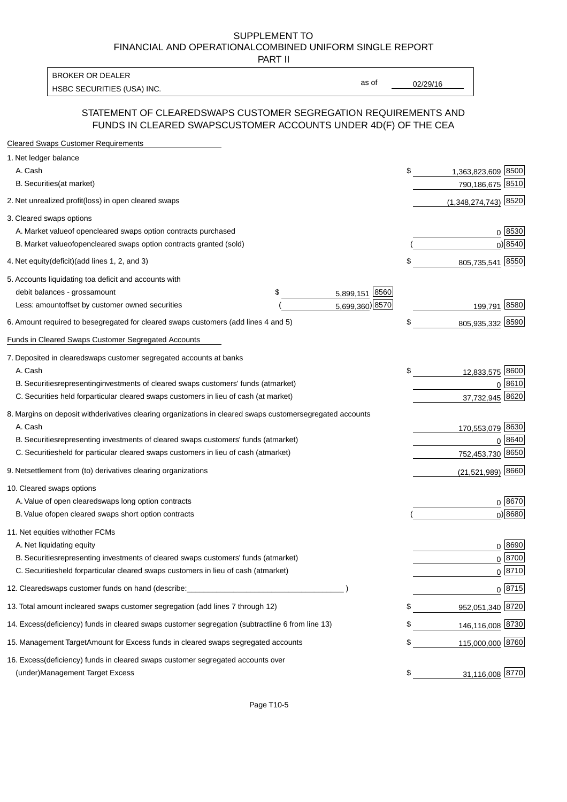PART II

HSBC SECURITIES (USA) INC. The contract of the contract of the contract of the contract of the contract of the contract of the contract of the contract of the contract of the contract of the contract of the contract of the BROKER OR DEALER

as of

#### STATEMENT OF CLEARED SWAPS CUSTOMER SEGREGATION REQUIREMENTS AND FUNDS IN CLEARED SWAPS CUSTOMER ACCOUNTS UNDER 4D(F) OF THE CEA

| <b>Cleared Swaps Customer Requirements</b>                                                                  |                          |               |
|-------------------------------------------------------------------------------------------------------------|--------------------------|---------------|
| 1. Net ledger balance                                                                                       |                          |               |
| A. Cash                                                                                                     | \$<br>1,363,823,609 8500 |               |
| B. Securities (at market)                                                                                   | 790,186,675              | 8510          |
| 2. Net unrealized profit (loss) in open cleared swaps                                                       | $(1,348,274,743)$ 8520   |               |
| 3. Cleared swaps options                                                                                    |                          |               |
| A. Market value of open cleared swaps option contracts purchased                                            |                          | $0^{8530}$    |
| B. Market value of open cleared swaps option contracts granted (sold)                                       |                          | $0)$ 8540     |
| 4. Net equity (deficit) (add lines 1, 2, and 3)                                                             | \$<br>805,735,541 8550   |               |
| 5. Accounts liquidating to a deficit and accounts with                                                      |                          |               |
| 5,899,151 8560<br>debit balances - gross amount<br>\$                                                       |                          |               |
| 5,699,360) 8570<br>Less: amount offset by customer owned securities                                         | 199,791 8580             |               |
| 6. Amount required to be segregated for cleared swaps customers (add lines 4 and 5)                         | \$<br>805,935,332 8590   |               |
| Funds in Cleared Swaps Customer Segregated Accounts                                                         |                          |               |
| 7. Deposited in cleared swaps customer segregated accounts at banks                                         |                          |               |
| A. Cash                                                                                                     | \$<br>12,833,575 8600    |               |
| B. Securities representing investments of cleared swaps customers' funds (at market)                        |                          | 0 8610        |
| C. Securities held for particular cleared swaps customers in lieu of cash (at market)                       | 37,732,945 8620          |               |
| 8. Margins on deposit with derivatives clearing organizations in cleared swaps customer segregated accounts |                          |               |
| A. Cash                                                                                                     | 170,553,079 8630         |               |
| B. Securities representing investments of cleared swaps customers' funds (at market)                        | 0                        | 8640          |
| C. Securities<br>held for particular cleared swaps customers in lieu of cash (at market)                    | 752,453,730 8650         |               |
| 9. Net settlement from (to) derivatives clearing organizations                                              | $(21,521,989)$ 8660      |               |
| 10. Cleared swaps options                                                                                   |                          |               |
| A. Value of open cleared swaps long option contracts                                                        |                          | $0^{8670}$    |
| B. Value of open cleared swaps short option contracts                                                       |                          | $0$ ) 8680    |
| 11. Net equities with other FCMs                                                                            |                          |               |
| A. Net liquidating equity                                                                                   |                          | $0^{8690}$    |
| B. Securities representing investments of cleared swaps customers' funds (at market)                        |                          | $0^{8700}$    |
| C. Securities held for particular cleared swaps customers in lieu of cash (at market)                       |                          | 0 8710        |
| 12. Cleared swaps customer funds on hand (describe:                                                         |                          | $0 \;  8715 $ |
| 13. Total amount in cleared swaps customer segregation (add lines 7 through 12)                             | \$<br>952,051,340 8720   |               |
| 14. Excess (deficiency) funds in cleared swaps customer segregation (subtract line 6 from line 13)          | 146,116,008 8730         |               |
| 15. Management Target Amount for Excess funds in cleared swaps segregated accounts                          | \$<br>115,000,000 8760   |               |
| 16. Excess<br>(deficiency) funds in cleared swaps customer segregated accounts over                         |                          |               |
| <b>Management Target Excess</b><br>(under)                                                                  | \$<br>31,116,008 8770    |               |